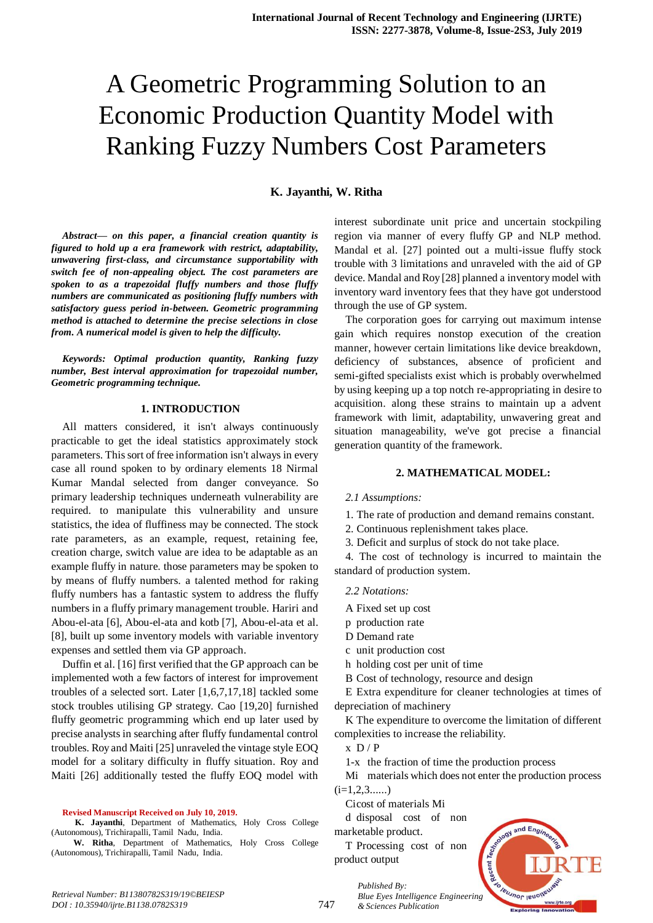# A Geometric Programming Solution to an Economic Production Quantity Model with Ranking Fuzzy Numbers Cost Parameters

## **K. Jayanthi, W. Ritha**

*Abstract***—** *on this paper, a financial creation quantity is figured to hold up a era framework with restrict, adaptability, unwavering first-class, and circumstance supportability with switch fee of non-appealing object. The cost parameters are spoken to as a trapezoidal fluffy numbers and those fluffy numbers are communicated as positioning fluffy numbers with satisfactory guess period in-between. Geometric programming method is attached to determine the precise selections in close from. A numerical model is given to help the difficulty.*

*Keywords: Optimal production quantity, Ranking fuzzy number, Best interval approximation for trapezoidal number, Geometric programming technique.*

#### **1. INTRODUCTION**

All matters considered, it isn't always continuously practicable to get the ideal statistics approximately stock parameters. This sort of free information isn't always in every case all round spoken to by ordinary elements 18 Nirmal Kumar Mandal selected from danger conveyance. So primary leadership techniques underneath vulnerability are required. to manipulate this vulnerability and unsure statistics, the idea of fluffiness may be connected. The stock rate parameters, as an example, request, retaining fee, creation charge, switch value are idea to be adaptable as an example fluffy in nature. those parameters may be spoken to by means of fluffy numbers. a talented method for raking fluffy numbers has a fantastic system to address the fluffy numbers in a fluffy primary management trouble. Hariri and Abou-el-ata [6], Abou-el-ata and kotb [7], Abou-el-ata et al. [8], built up some inventory models with variable inventory expenses and settled them via GP approach.

Duffin et al. [16] first verified that the GP approach can be implemented woth a few factors of interest for improvement troubles of a selected sort. Later [1,6,7,17,18] tackled some stock troubles utilising GP strategy. Cao [19,20] furnished fluffy geometric programming which end up later used by precise analysts in searching after fluffy fundamental control troubles. Roy and Maiti [25] unraveled the vintage style EOQ model for a solitary difficulty in fluffy situation. Roy and Maiti [26] additionally tested the fluffy EOQ model with

#### **Revised Manuscript Received on July 10, 2019.**

 **K. Jayanthi**, Department of Mathematics, Holy Cross College (Autonomous), Trichirapalli, Tamil Nadu, India.

**W. Ritha**, Department of Mathematics, Holy Cross College (Autonomous), Trichirapalli, Tamil Nadu, India.

interest subordinate unit price and uncertain stockpiling region via manner of every fluffy GP and NLP method. Mandal et al. [27] pointed out a multi-issue fluffy stock trouble with 3 limitations and unraveled with the aid of GP device. Mandal and Roy [28] planned a inventory model with inventory ward inventory fees that they have got understood through the use of GP system.

The corporation goes for carrying out maximum intense gain which requires nonstop execution of the creation manner, however certain limitations like device breakdown, deficiency of substances, absence of proficient and semi-gifted specialists exist which is probably overwhelmed by using keeping up a top notch re-appropriating in desire to acquisition. along these strains to maintain up a advent framework with limit, adaptability, unwavering great and situation manageability, we've got precise a financial generation quantity of the framework.

#### **2. MATHEMATICAL MODEL:**

- *2.1 Assumptions:*
- 1. The rate of production and demand remains constant.
- 2. Continuous replenishment takes place.
- 3. Deficit and surplus of stock do not take place.

4. The cost of technology is incurred to maintain the standard of production system.

- *2.2 Notations:*
- A Fixed set up cost
- p production rate
- D Demand rate
- c unit production cost
- h holding cost per unit of time

B Cost of technology, resource and design

E Extra expenditure for cleaner technologies at times of depreciation of machinery

K The expenditure to overcome the limitation of different complexities to increase the reliability.

 $x D/P$ 

1-x the fraction of time the production process

Mi materials which does not enter the production process  $(i=1,2,3,...)$ 

Cicost of materials Mi

d disposal cost of non marketable product.

T Processing cost of non product output

> *Published By: Blue Eyes Intelligence Engineering & Sciences Publication*

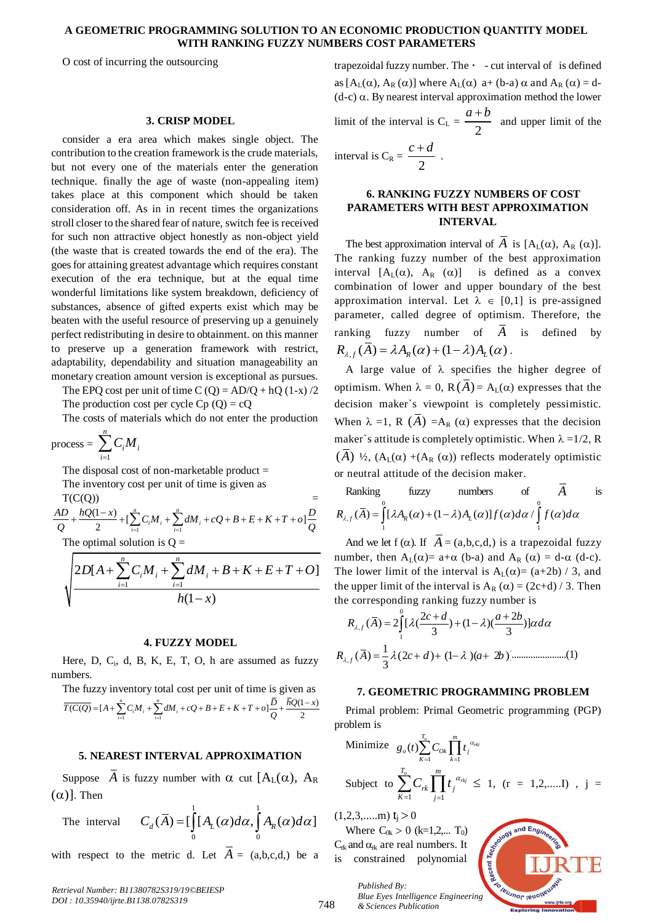## **A GEOMETRIC PROGRAMMING SOLUTION TO AN ECONOMIC PRODUCTION QUANTITY MODEL WITH RANKING FUZZY NUMBERS COST PARAMETERS**

O cost of incurring the outsourcing

## **3. CRISP MODEL**

consider a era area which makes single object. The contribution to the creation framework is the crude materials, but not every one of the materials enter the generation technique. finally the age of waste (non-appealing item) takes place at this component which should be taken consideration off. As in in recent times the organizations stroll closer to the shared fear of nature, switch fee is received for such non attractive object honestly as non-object yield (the waste that is created towards the end of the era). The goes for attaining greatest advantage which requires constant execution of the era technique, but at the equal time wonderful limitations like system breakdown, deficiency of substances, absence of gifted experts exist which may be beaten with the useful resource of preserving up a genuinely perfect redistributing in desire to obtainment. on this manner to preserve up a generation framework with restrict, adaptability, dependability and situation manageability an monetary creation amount version is exceptional as pursues.

The EPQ cost per unit of time C (Q) =  $AD/Q + hQ$  (1-x) /2

The production cost per cycle  $C_p(Q) = cQ$ The costs of materials which do not enter the production

$$
process = \sum_{i=1}^{n} C_i M_i
$$

The disposal cost of non-marketable product  $=$ The inventory cost per unit of time is given as

 $T(C(Q))$ ventory cost per unit of time is given as<br>
(1)<br>  $\frac{(1-x)}{2} + \left[\sum_{i=1}^{n} C_i M_i + \sum_{i=1}^{n} dM_i + cQ + B + E + K + T + o\right]$  $\sum_{n=1}^{n} a_n t$ The inventory cost per unit of time is given as<br>  $T(C(Q))$ <br>  $\frac{AD}{Q} + \frac{hQ(1-x)}{2} + [\sum_{i=1}^{n} C_i M_i + \sum_{i=1}^{n} dM_i + cQ + B + E + K + T + o] \frac{D}{Q}$  $\overline{a}$ the disposal cost of non-marketable product =<br>
the inventory cost per unit of time is given as<br>  $(C(Q))$ <br>  $+ \frac{hQ(1-x)}{2} + \left[\sum_{i=1}^{n} C_i M_i + \sum_{i=1}^{n} dM_i + cQ + B + E + K + T + o\right] \frac{D}{Q}$ 

$$
2 \t\t\t\t 2 \t\t\t 2
$$
\nThe optimal solution is Q =\n
$$
\sqrt{\frac{2D[A + \sum_{i=1}^{n} C_i M_i + \sum_{i=1}^{n} dM_i + B + K + E + T + O]}{h(1 - x)}}
$$
\n
$$
1\n\t\t\t \frac{1}{2} \t\t\t \frac{1}{2} \t\t\t \frac{1}{2} \t\t\t \frac{1}{2} \t\t\t \frac{1}{2} \t\t\t \frac{1}{2} \t\t\t \frac{1}{2} \t\t\t \frac{1}{2} \t\t\t \frac{1}{2} \t\t\t \frac{1}{2} \t\t\t \frac{1}{2} \t\t\t \frac{1}{2} \t\t\t \frac{1}{2} \t\t\t \frac{1}{2} \t\t\t \frac{1}{2} \t\t\t \frac{1}{2} \t\t\t \frac{1}{2} \t\t\t \frac{1}{2} \t\t\t \frac{1}{2} \t\t\t \frac{1}{2} \t\t\t \frac{1}{2} \t\t\t \frac{1}{2} \t\t\t \frac{1}{2} \t\t\t \frac{1}{2} \t\t\t \frac{1}{2} \t\t\t \frac{1}{2} \t\t\t \frac{1}{2} \t\t\t \frac{1}{2} \t\t\t \frac{1}{2} \t\t\t \frac{1}{2} \t\t\t \frac{1}{2} \t\t\t \frac{1}{2} \t\t\t \frac{1}{2} \t\t\t \frac{1}{2} \t\t\t \frac{1}{2} \t\t\t \frac{1}{2} \t\t\t \frac{1}{2} \t\t\t \frac{1}{2} \t\t\t \frac{1}{2} \t\t\t \frac{1}{2} \t\t\t \frac{1}{2} \t\t\t \frac{1}{2} \t\t\t \frac{1}{2} \t\t\t \frac{1}{2} \t\t\t \frac{1}{2} \t\t\t \frac{1}{2} \t\t\t \frac{1}{2} \t\t\t \frac{1}{2} \t\t\t \frac{1}{2} \t\t\t \frac{1}{2} \t\t\t \frac{1}{2} \t\t\t \frac{1}{2} \t\t\t \frac{1}{2} \t\t\t \frac{1}{2} \t\t\t \frac{1}{2} \t\t\t \frac{1}{2} \t\t\t \frac{1}{2} \t\t\t \frac{1}{2} \t\t\t \frac{1}{2} \t\t\t \frac{1}{2} \t\t
$$

#### **4. FUZZY MODEL**

Here, D, C<sub>i</sub>, d, B, K, E, T, O, h are assumed as fuzzy numbers.

The fuzzy inventory total cost per unit of time is given as the fuzzy inventory total cost per unit of time is given as<br>  $\frac{1}{(C(Q))} = [A + \sum_{i=1}^{n} C_i M_i + \sum_{i=1}^{n} dM_i + cQ + B + E + K + T + o] \frac{\overline{D}}{Q} + \frac{\overline{h}Q(1-x)}{2}$ ventory to  $\sum_{n=1}^{n} a_n t_n \cdot \sum_{n=1}^{n} a_n t_n$ mbers.<br>
The fuzzy inventory total cost per unit of time is given as<br>  $\overline{T(C(Q)} = [A + \sum_{i=1}^{n} C_i M_i + \sum_{i=1}^{n} dM_i + cQ + B + E + K + T + o] \frac{\overline{D}}{Q} + \frac{\overline{h}Q(1-x)}{2}$ D, C<sub>i</sub>, d, B, K, E, 1, O, h are assumed as fuzzy<br>zzy inventory total cost per unit of time is given as<br> $=[A + \sum_{i=1}^{n} C_i M_i + \sum_{i=1}^{n} dM_i + cQ + B + E + K + T + o] \frac{\overline{D}}{Q} + \frac{\overline{h}Q(1-x)}{2}$ 

## **5. NEAREST INTERVAL APPROXIMATION**

Suppose  $\overline{A}$  is fuzzy number with  $\alpha$  cut  $[A_L(\alpha), A_R]$  $(\alpha)$ ]. Then

The interval  $\frac{1}{2}$  1  $\int_{0}^{L} L^{(1)}$   $\int_{0}^{0}$  $C_d(\overline{A}) = \left[\int_0^1 [A_L(\alpha)d\alpha, \int_0^1 A_R(\alpha)d\alpha\right]$  (1,2,3,.....m)  $t_j > 0$ <br>Where  $C_{0k} > 0$  (k=1,2,

with respect to the metric d. Let  $A = (a,b,c,d)$  be a

trapezoidal fuzzy number. The  $\cdot$  - cut interval of is defined as  $[A_L(\alpha), A_R(\alpha)]$  where  $A_L(\alpha)$  a+ (b-a)  $\alpha$  and  $A_R(\alpha) = d$ - $(d-c)$   $\alpha$ . By nearest interval approximation method the lower limit of the interval is  $C_L = \frac{2}{2}$  $\frac{a+b}{b}$  and upper limit of the

interval is 
$$
C_R = \frac{c+d}{2}
$$
.

## **6. RANKING FUZZY NUMBERS OF COST PARAMETERS WITH BEST APPROXIMATION INTERVAL**

The best approximation interval of A is  $[A_L(\alpha), A_R(\alpha)]$ . The ranking fuzzy number of the best approximation interval  $[A_L(\alpha), A_R(\alpha)]$  is defined as a convex combination of lower and upper boundary of the best approximation interval. Let  $\lambda \in [0,1]$  is pre-assigned parameter, called degree of optimism. Therefore, the ranking fuzzy number of *A* is defined by ranking fuzzy number of *A*<br>  $R_{\lambda,f}(\overline{A}) = \lambda A_R(\alpha) + (1 - \lambda) A_L(\alpha)$ .

A large value of  $\lambda$  specifies the higher degree of optimism. When  $\lambda = 0$ ,  $R(A) = A_{L}(\alpha)$  expresses that the decision maker`s viewpoint is completely pessimistic. When  $\lambda =1$ , R  $(\overline{A}) = A_R(\alpha)$  expresses that the decision maker's attitude is completely optimistic. When  $\lambda = 1/2$ , R (A)  $\frac{1}{2}$ , (A<sub>L</sub>( $\alpha$ ) +(A<sub>R</sub> ( $\alpha$ )) reflects moderately optimistic or neutral attitude of the decision maker.

or neutral attitude of the decision maker.  
\nRanking fuzzy numbers of 
$$
\overline{A}
$$
 is  
\n
$$
R_{\lambda,f}(\overline{A}) = \int_{1}^{0} [\lambda A_R(\alpha) + (1-\lambda)A_L(\alpha)] f(\alpha) d\alpha / \int_{1}^{0} f(\alpha) d\alpha
$$

And we let  $f(\alpha)$ . If  $A = (a,b,c,d)$  is a trapezoidal fuzzy number, then  $A_L(\alpha) = a + \alpha$  (b-a) and  $A_R(\alpha) = d - \alpha$  (d-c). The lower limit of the interval is  $A_L(\alpha) = (a+2b) / 3$ , and the upper limit of the interval is  $A_R(\alpha) = (2c+d)/3$ . Then

the corresponding ranking fuzzy number is 2 2 ( ) 2 [ ( ) (1 )( )] *c d a b R A d* 0 , 1 3 3 *<sup>f</sup>* , 1 ( ) (2 ) (1 )( 2 )] 3 *R A c d a b <sup>f</sup>* .......................(1)

## **7. GEOMETRIC PROGRAMMING PROBLEM**

Primal problem: Primal Geometric programming (PGP) problem is

Minimize 
$$
g_o(t) \sum_{k=1}^{T_o} C_{Ok} \prod_{k=1}^{m} t_j^{\alpha_{ols}}
$$
  
Subject to  $\sum_{k=1}^{T_o} C_{rk} \prod_{j=1}^{m} t_j^{\alpha_{rkj}} \le 1$ , (r = 1,2,...I), j =

 $(1,2,3,......m)$  t<sub>j</sub> > 0

*Published By:*

Where  $C_{0k} > 0$  (k=1,2,... T<sub>0</sub>)  $C_{rk}$  and  $\alpha_{rk}$  are real numbers. It constrained polynomial



748 *& Sciences Publication*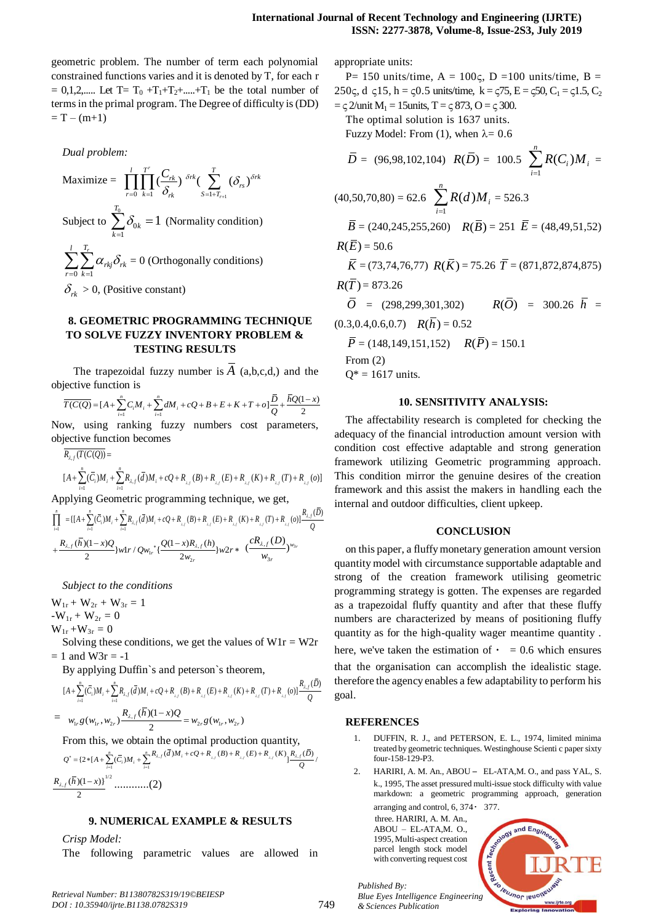geometric problem. The number of term each polynomial constrained functions varies and it is denoted by T, for each r  $= 0,1,2,...$  Let T=  $T_0 + T_1 + T_2 + ... + T_1$  be the total number of terms in the primal program. The Degree of difficulty is (DD)  $= T - (m+1)$ 

*Dual problem:* Maximize =  $\sum_{k=1}^{n} \sum_{k=1}^{n} \delta_{rk}$   $S=1+T_{r+1}$  $\int_{0}^{r} \left(\frac{C_{rk}}{s}\right)^{\delta rk} \left(\sum_{s=1}^{T} \left(\delta_{rs}\right)\right)$ *r*  $\prod_{r=0}^{l} \prod_{k=1}^{T^r} \big( \frac{C_{rk}}{\delta_{rk}} \big) \frac{\delta rk}{s=1+T_{r+1}} \big( \delta_{rs} \big) \frac{\delta rk}{r}$  $\prod_{r=0}^l \prod_{k=1}^{T^r} \big(\frac{C_{rk}}{\delta_{rk}}\big)^{\delta rk} \big(\sum_{S=l+T_{r+1}}^T \big(\delta_{rs}\big)^{\delta rk}$ Subject to  $\sum_{n=1}^{\infty}$  $\overline{0}$ 1 1 *T k k*  $\delta$  $\sum_{k=1}^{\infty} \delta_{0k} = 1$  (Normality condition) 0  $k=1$ *l T<sup>r</sup> rkj rk r k*  $\alpha_{\scriptscriptstyle rki}\delta_{\scriptscriptstyle r}$  $\sum_{r=0} \sum_{k=1}^r \alpha_{rkj} \delta_{rk} = 0$  (Orthogonally conditions)  $\delta_{rk} > 0$ , (Positive constant)

## **8. GEOMETRIC PROGRAMMING TECHNIQUE TO SOLVE FUZZY INVENTORY PROBLEM & TESTING RESULTS**

The trapezoidal fuzzy number is  $\overline{A}$  (a,b,c,d,) and the jective function is<br>  $\overline{T(C(Q)} = [A + \sum_{i=1}^{n} C_i M_i + \sum_{i=1}^{n} dM_i + cQ + B + E + K + T + o] \frac{\overline{D}}{Q} + \frac{\overline{h}Q(1-x)}{2}$ objective function is  $\frac{\pi G(G)}{\pi G(G)}$  if  $\theta$ ,  $\sum_{n=1}^{\infty} G(M)$ ,  $\sum_{n=1}^{\infty} G(M)$ 

$$
\frac{1}{T(C(Q))} = [A + \sum_{i=1}^{n} C_i M_i + \sum_{i=1}^{n} dM_i + cQ + B + E + K + T + o] \frac{\overline{D}}{Q} + \frac{\overline{h}Q(1-x)}{2}
$$

Now, using ranking fuzzy numbers cost parameters, objective function becomes tive function<br>  $f(T(C(Q))) =$ <br>  $\sum_{n=1}^{\infty} f(n) f(x) dx$ w, using<br>iective func<br> $\frac{R_{\lambda,f}(T(C(Q)))}{R_{\lambda,f}(T(C(Q)))}$ 

$$
\begin{aligned}\n\text{jective function becomes} \\
\overline{R_{\lambda,f}(T(C(Q))} &= \\
\left[A + \sum_{i=1}^{n} (\overline{C}_{i})M_{i} + \sum_{i=1}^{n} R_{\lambda,f}(\overline{d})M_{i} + cQ + R_{\lambda,f}(B) + R_{\lambda,f}(E) + R_{\lambda,f}(K) + R_{\lambda,f}(T) + R_{\lambda,f}(o)\right] \\
\text{plying Geometric programming technique, we get,} \\
&= \left\{\left[A + \sum_{i=1}^{n} (\overline{C}_{i})M_{i} + \sum_{i=1}^{n} R_{\lambda,f}(\overline{d})M_{i} + cQ + R_{\lambda,f}(B) + R_{\lambda,f}(E) + R_{\lambda,f}(K) + R_{\lambda,f}(T) + R_{\lambda,f}(O)\right] + \sum_{i=1}^{n} R_{\lambda,f}(B) + R_{\lambda,f}(B) + R_{\lambda,f}(B) + R_{\lambda,f}(B) + R_{\lambda,f}(B) + R_{\lambda,f}(B) + R_{\lambda,f}(B) + R_{\lambda,f}(B) + R_{\lambda,f}(B) + R_{\lambda,f}(B) + R_{\lambda,f}(B) + R_{\lambda,f}(B) + R_{\lambda,f}(B) + R_{\lambda,f}(B) + R_{\lambda,f}(B) + R_{\lambda,f}(B) + R_{\lambda,f}(B) + R_{\lambda,f}(B) + R_{\lambda,f}(B) + R_{\lambda,f}(B) + R_{\lambda,f}(B) + R_{\lambda,f}(B) + R_{\lambda,f}(B) + R_{\lambda,f}(B) + R_{\lambda,f}(B) + R_{\lambda,f}(B) + R_{\lambda,f}(B) + R_{\lambda,f}(B) + R_{\lambda,f}(B) + R_{\lambda,f}(B) + R_{\lambda,f}(B) + R_{\lambda,f}(B) + R_{\lambda,f}(B) + R_{\lambda,f}(B) + R_{\lambda,f}(B) + R_{\lambda,f}(B) + R_{\lambda,f}(B) + R_{\lambda,f}(B) + R_{\lambda,f}(B) + R_{\lambda,f}(B) + R_{\lambda,f}(B) + R_{\lambda,f}(B) + R_{\lambda,f}(B) + R_{\lambda,f}(B) + R_{\lambda,f}(B) + R_{\lambda,f}(B) + R_{\lambda,f}(B) + R_{\lambda,f}(B) + R_{\lambda,f}(B) + R_{\lambda,f}(B) + R_{\lambda,f}(B) + R_{\lambda,f}(B) + R_{\lambda,f}(B) + R_{\lambda,f}(B) + R
$$

$$
[A + \sum_{i=1}^n (\overline{C}_i)M_i + \sum_{i=1}^n R_{\lambda,f}(\overline{d})M_i + cQ + R_{\lambda,f}(B) + R_{\lambda,f}(E) + R_{\lambda,f}(K) + R_{\lambda,f}(T) + R_{\lambda,f}(o)]
$$
  
Applying Geometric programming technique, we get,  

$$
\prod_{i=1}^n = \{ [A + \sum_{i=1}^n (\overline{C}_i)M_i + \sum_{i=1}^n R_{\lambda,f}(\overline{d})M_i + cQ + R_{\lambda,f}(B) + R_{\lambda,f}(E) + R_{\lambda,f}(K) + R_{\lambda,f}(T) + R_{\lambda,f}(o)] \frac{R_{\lambda,f}(\overline{D})}{Q}
$$

$$
+ \frac{R_{\lambda,f}(\overline{h})(1-x)Q}{2} \}w1r / Qw_{1r} + \frac{Q(1-x)R_{\lambda,f}(h)}{2w_{2r}}\}w2r + \frac{cR_{\lambda,f}(D)}{w_{3r}})^{w_{3r}}
$$

*Subject to the conditions*

 $W_{1r} + W_{2r} + W_{3r} = 1$  $-W_{1r} + W_{2r} = 0$  $W_{1r} + W_{3r} = 0$ 

Solving these conditions, we get the values of  $W1r = W2r$  $= 1$  and W3r  $= -1$ 

= 1 and W3r = -1  
\nBy applying Duffin's and peterson's theorem,  
\n
$$
[A + \sum_{i=1}^{n} (\bar{C}_{i})M_{i} + \sum_{i=1}^{n} R_{\lambda,f}(\bar{d})M_{i} + cQ + R_{\lambda,f}(B) + R_{\lambda,f}(E) + R_{\lambda,f}(K) + R_{\lambda,f}(T) + R_{\lambda,f}(o)] \frac{R_{\lambda,f}(\bar{D})}{Q}
$$
\n
$$
= w_{1,r}g(w_{1r}, w_{2r}) \frac{R_{\lambda,f}(\bar{h})(1-x)Q}{2} = w_{2r}g(w_{1r}, w_{2r})
$$

From this, we obtain the optimal production quantity,

$$
= w_{1r}g(w_{1r}, w_{2r}) \frac{R_{\lambda,f}(u)(1 - \lambda)g}{2} = w_{2r}g(w_{1r}, w_{2r})
$$
  
From this, we obtain the optimal production quantity,  

$$
Q^* = \{2 * [A + \sum_{i=1}^n (\overline{C}_i)M_i + \sum_{i=1}^n R_{\lambda,f}(\overline{d})M_i + cQ + R_{\lambda,f}(B) + R_{\lambda,f}(E) + R_{\lambda,f}(K) \frac{R_{\lambda,f}(\overline{D})}{Q} \}
$$

$$
\frac{R_{\lambda,f}(\overline{h})(1-x)\}^{1/2} \dots \dots \dots (2)
$$

## **9. NUMERICAL EXAMPLE & RESULTS**

*Crisp Model:*

The following parametric values are allowed in

appropriate units:

 $Q^* = 1617$  units.

P= 150 units/time,  $A = 100c$ ,  $D = 100$  units/time,  $B =$ 250c, d c15, h = c0.5 units/time,  $k = c75$ ,  $E = c50$ ,  $C_1 = c1.5$ ,  $C_2$  $=\subset 2$ /unit M<sub>1</sub> = 15units, T =  $\subset 873$ , O =  $\subset 300$ .

The optimal solution is 1637 units. Fuzzy Model: From (1), when  $\lambda = 0.6$ 

 $\overline{D} = (96, 98, 102, 104)$   $R(\overline{D}) = 100.5$   $\sum R(C_i)$ 1 *n*  $R(C_i)M_i$ *i*  $\sum_{i=1} R(C_i) M_i =$  $(40,50,70,80) = 62.6$ 1  $\left( d\right)$ *n i i*  $R(d)M$  $\sum_{i=1} R(d)M_i = 526.3$  $\overline{B} = (240, 245, 255, 260)$   $R(\overline{B}) = 251$   $\overline{E} = (48, 49, 51, 52)$  $R(\bar{E}) = 50.6$  $\overline{K}$  = (73,74,76,77)  $R(\overline{K})$  = 75.26  $\overline{T}$  = (871,872,874,875)  $R(\bar{T}) = 873.26$  $\overline{O}$  = (298,299,301,302)  $R(\overline{O})$  = 300.26  $h$  =  $(0.3, 0.4, 0.6, 0.7)$   $R(h) = 0.52$  $\overline{P}$  = (148,149,151,152)  $R(\overline{P})$  = 150.1 From (2)

## **10. SENSITIVITY ANALYSIS:**

The affectability research is completed for checking the adequacy of the financial introduction amount version with condition cost effective adaptable and strong generation framework utilizing Geometric programming approach. This condition mirror the genuine desires of the creation framework and this assist the makers in handling each the internal and outdoor difficulties, client upkeep.

#### **CONCLUSION**

on this paper, a fluffy monetary generation amount version quantity model with circumstance supportable adaptable and strong of the creation framework utilising geometric programming strategy is gotten. The expenses are regarded as a trapezoidal fluffy quantity and after that these fluffy numbers are characterized by means of positioning fluffy quantity as for the high-quality wager meantime quantity . here, we've taken the estimation of  $\cdot$  = 0.6 which ensures that the organisation can accomplish the idealistic stage. therefore the agency enables a few adaptability to perform his goal.

#### **REFERENCES**

749

- 1. DUFFIN, R. J., and PETERSON, E. L., 1974, limited minima treated by geometric techniques. Westinghouse Scienti c paper sixty four-158-129-P3.
- 2. HARIRI, A. M. An., ABOU EL-ATA,M. O., and pass YAL, S. k., 1995, The asset pressured multi-issue stock difficulty with value markdown: a geometric programming approach, generation arranging and control,  $6, 374 \cdot 377$ .

 three. HARIRI, A. M. An., ABOU – EL-ATA,M. O., 1995, Multi-aspect creation parcel length stock model with converting request cost



*Published By: Blue Eyes Intelligence Engineering & Sciences Publication*